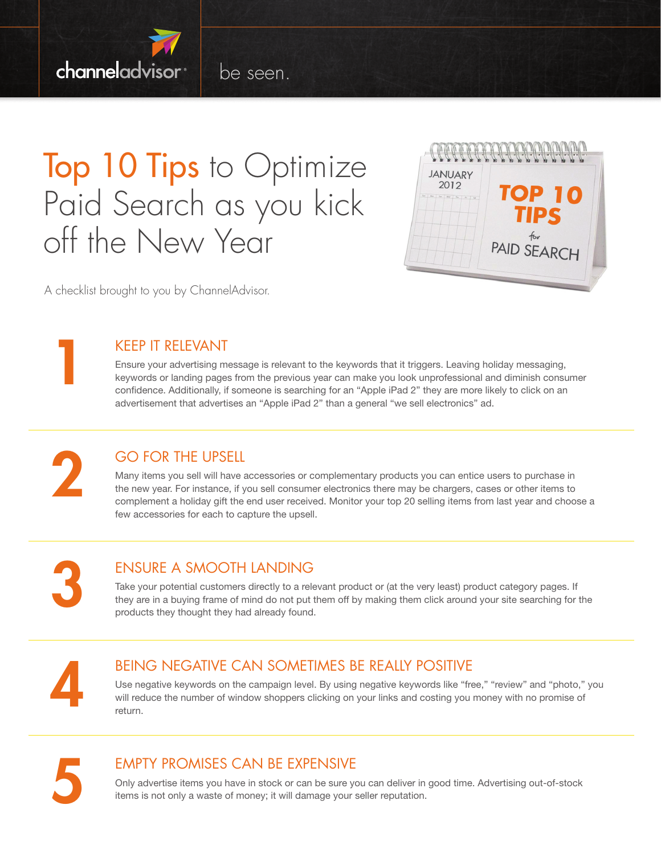

be seen.

## Top 10 Tips to Optimize Paid Search as you kick off the New Year



A checklist brought to you by ChannelAdvisor.

Keep it relevant

#### Ensure your advertising message is relevant to the keywords that it triggers. Leaving holiday messaging, keywords or landing pages from the previous year can make you look unprofessional and diminish consumer confidence. Additionally, if someone is searching for an "Apple iPad 2" they are more likely to click on an advertisement that advertises an "Apple iPad 2" than a general "we sell electronics" ad.

2

1

#### Go for the upsell

Many items you sell will have accessories or complementary products you can entice users to purchase in the new year. For instance, if you sell consumer electronics there may be chargers, cases or other items to complement a holiday gift the end user received. Monitor your top 20 selling items from last year and choose a few accessories for each to capture the upsell.

3

### Ensure a smooth landing

Take your potential customers directly to a relevant product or (at the very least) product category pages. If they are in a buying frame of mind do not put them off by making them click around your site searching for the products they thought they had already found.

4

#### Being negative can sometimes be really positive

Use negative keywords on the campaign level. By using negative keywords like "free," "review" and "photo," you will reduce the number of window shoppers clicking on your links and costing you money with no promise of return.



#### Empty promises can be expensive

Only advertise items you have in stock or can be sure you can deliver in good time. Advertising out-of-stock items is not only a waste of money; it will damage your seller reputation.